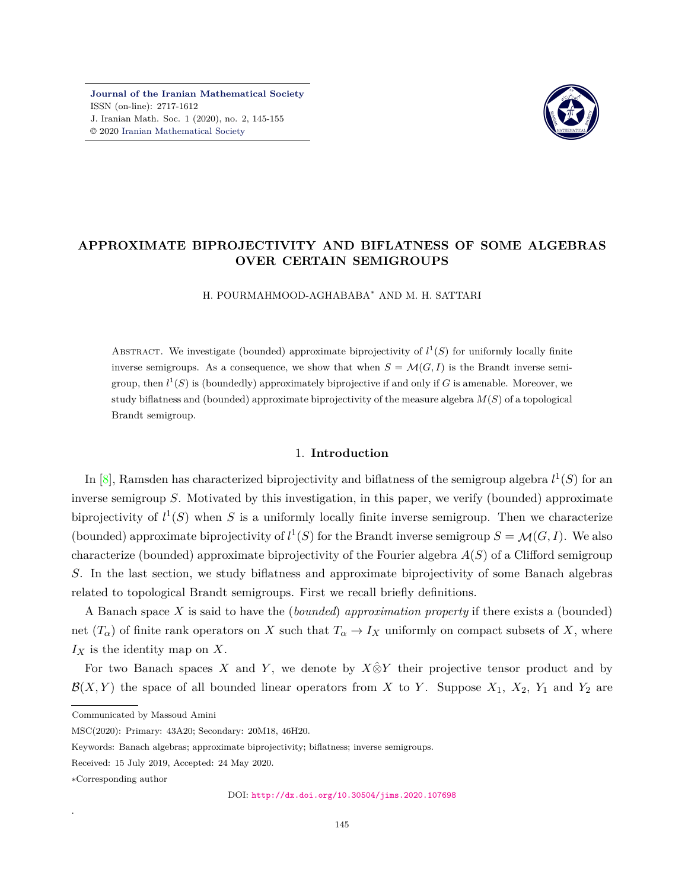**[Journal of the Iranian Mathematical Society](http://jims.iranjournals.ir)** ISSN (on-line): 2717-1612 J. Iranian Math. Soc. 1 (2020), no. 2, 145-155 © 2020 [Iranian Mathematical Society](http://en.ims.ir/)



## **APPROXIMATE BIPROJECTIVITY AND BIFLATNESS OF SOME ALGEBRAS OVER CERTAIN SEMIGROUPS**

H. POURMAHMOOD-AGHABABA*<sup>∗</sup>* AND M. H. SATTARI

ABSTRACT. We investigate (bounded) approximate biprojectivity of  $l^1(S)$  for uniformly locally finite inverse semigroups. As a consequence, we show that when  $S = \mathcal{M}(G, I)$  is the Brandt inverse semigroup, then  $l^1(S)$  is (boundedly) approximately biprojective if and only if *G* is amenable. Moreover, we study biflatness and (bounded) approximate biprojectivity of the measure algebra *M*(*S*) of a topological Brandt semigroup.

### 1. **Introduction**

In  $[8]$ , Ramsden has characterized biprojectivity and biflatness of the semigroup algebra  $l^1(S)$  for an inverse semigroup *S*. Motivated by this investigation, in this paper, we verify (bounded) approximate biprojectivity of  $l^1(S)$  when *S* is a uniformly locally finite inverse semigroup. Then we characterize (bounded) approximate biprojectivity of  $l^1(S)$  for the Brandt inverse semigroup  $S = \mathcal{M}(G, I)$ . We also characterize (bounded) approximate biprojectivity of the Fourier algebra *A*(*S*) of a Clifford semigroup *S*. In the last section, we study biflatness and approximate biprojectivity of some Banach algebras related to topological Brandt semigroups. First we recall briefly definitions.

A Banach space *X* is said to have the (*bounded*) *approximation property* if there exists a (bounded) net  $(T_\alpha)$  of finite rank operators on *X* such that  $T_\alpha \to I_X$  uniformly on compact subsets of *X*, where *I<sup>X</sup>* is the identity map on *X*.

For two Banach spaces *X* and *Y*, we denote by  $X \hat{\otimes} Y$  their projective tensor product and by  $\mathcal{B}(X, Y)$  the space of all bounded linear operators from *X* to *Y*. Suppose  $X_1$ ,  $X_2$ ,  $Y_1$  and  $Y_2$  are

.

Communicated by Massoud Amini

MSC(2020): Primary: 43A20; Secondary: 20M18, 46H20.

Keywords: Banach algebras; approximate biprojectivity; biflatness; inverse semigroups.

Received: 15 July 2019, Accepted: 24 May 2020.

*<sup>∗</sup>*Corresponding author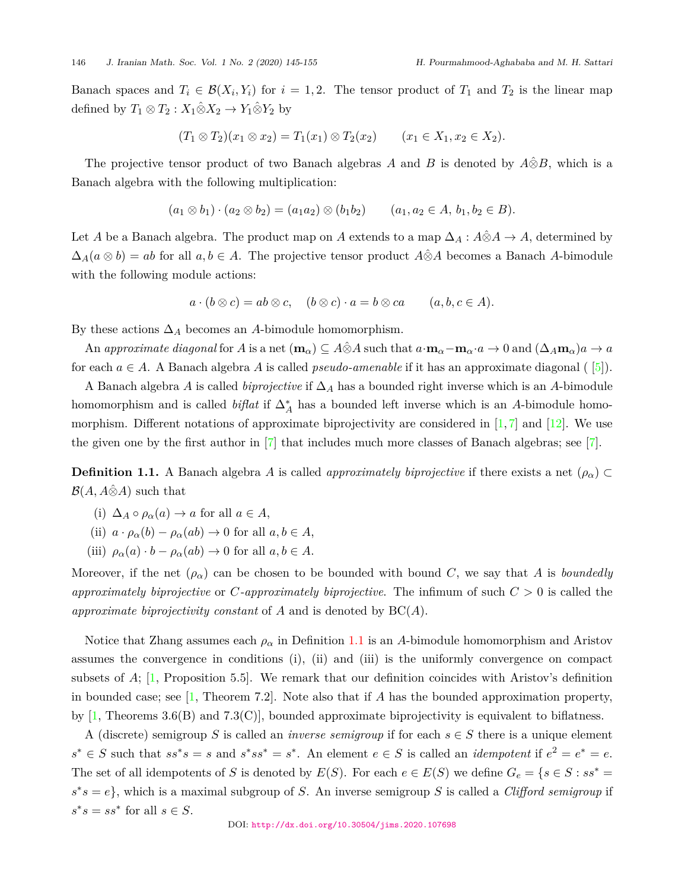Banach spaces and  $T_i \in \mathcal{B}(X_i, Y_i)$  for  $i = 1, 2$ . The tensor product of  $T_1$  and  $T_2$  is the linear map defined by  $T_1 \otimes T_2 : X_1 \hat{\otimes} X_2 \to Y_1 \hat{\otimes} Y_2$  by

$$
(T_1 \otimes T_2)(x_1 \otimes x_2) = T_1(x_1) \otimes T_2(x_2) \qquad (x_1 \in X_1, x_2 \in X_2).
$$

The projective tensor product of two Banach algebras *A* and *B* is denoted by  $\hat{A} \hat{\otimes} B$ , which is a Banach algebra with the following multiplication:

$$
(a_1 \otimes b_1) \cdot (a_2 \otimes b_2) = (a_1 a_2) \otimes (b_1 b_2) \qquad (a_1, a_2 \in A, b_1, b_2 \in B).
$$

Let *A* be a Banach algebra. The product map on *A* extends to a map  $\Delta_A : A \hat{\otimes} A \to A$ , determined by  $\Delta_A(a \otimes b) = ab$  for all  $a, b \in A$ . The projective tensor product  $\hat{A} \otimes A$  becomes a Banach  $A$ -bimodule with the following module actions:

$$
a \cdot (b \otimes c) = ab \otimes c, \quad (b \otimes c) \cdot a = b \otimes ca \qquad (a, b, c \in A).
$$

By these actions  $\Delta_A$  becomes an *A*-bimodule homomorphism.

An approximate diagonal for A is a net  $(\mathbf{m}_{\alpha}) \subseteq A \hat{\otimes} A$  such that  $a \cdot \mathbf{m}_{\alpha} - \mathbf{m}_{\alpha} \cdot a \to 0$  and  $(\Delta_A \mathbf{m}_{\alpha})a \to a$ for each  $a \in A$ . A Banach algebra A is called *pseudo-amenable* if it has an approximate diagonal ( $[5]$  $[5]$  $[5]$ ).

A Banach algebra *A* is called *biprojective* if ∆*<sup>A</sup>* has a bounded right inverse which is an *A*-bimodule homomorphism and is called *biflat* if ∆*∗ A* has a bounded left inverse which is an *A*-bimodule homomorphism. Different notations of approximate biprojectivity are considered in  $[1, 7]$  $[1, 7]$  $[1, 7]$  and  $[12]$ . We use the given one by the first author in [\[7\]](#page-10-3) that includes much more classes of Banach algebras; see [\[7\]](#page-10-3).

<span id="page-1-0"></span>**Definition 1.1.** A Banach algebra *A* is called *approximately biprojective* if there exists a net  $(\rho_{\alpha}) \subset$  $B(A, A\hat{\otimes}A)$  such that

- (i)  $\Delta_A \circ \rho_\alpha(a) \to a$  for all  $a \in A$ ,
- (ii)  $a \cdot \rho_{\alpha}(b) \rho_{\alpha}(ab) \rightarrow 0$  for all  $a, b \in A$ ,
- (iii)  $\rho_{\alpha}(a) \cdot b \rho_{\alpha}(ab) \rightarrow 0$  for all  $a, b \in A$ .

Moreover, if the net  $(\rho_{\alpha})$  can be chosen to be bounded with bound *C*, we say that *A* is *boundedly approximately biprojective* or *C-approximately biprojective*. The infimum of such *C >* 0 is called the *approximate biprojectivity constant* of *A* and is denoted by BC(*A*).

Notice that Zhang assumes each  $\rho_{\alpha}$  in Definition [1.1](#page-1-0) is an A-bimodule homomorphism and Aristov assumes the convergence in conditions (i), (ii) and (iii) is the uniformly convergence on compact subsets of *A*; [\[1,](#page-10-2) Proposition 5.5]. We remark that our definition coincides with Aristov's definition in bounded case; see [\[1,](#page-10-2) Theorem 7.2]. Note also that if *A* has the bounded approximation property, by  $[1,$  $[1,$  $[1,$  Theorems 3.6(B) and 7.3(C), bounded approximate biprojectivity is equivalent to biflatness.

A (discrete) semigroup *S* is called an *inverse semigroup* if for each  $s \in S$  there is a unique element  $s^* \in S$  such that  $ss^*s = s$  and  $s^*ss^* = s^*$ . An element  $e \in S$  is called an *idempotent* if  $e^2 = e^* = e$ . The set of all idempotents of *S* is denoted by  $E(S)$ . For each  $e \in E(S)$  we define  $G_e = \{s \in S : ss^* = s\}$  $s^*s = e$ , which is a maximal subgroup of *S*. An inverse semigroup *S* is called a *Clifford semigroup* if  $s^*s = ss^*$  for all  $s \in S$ .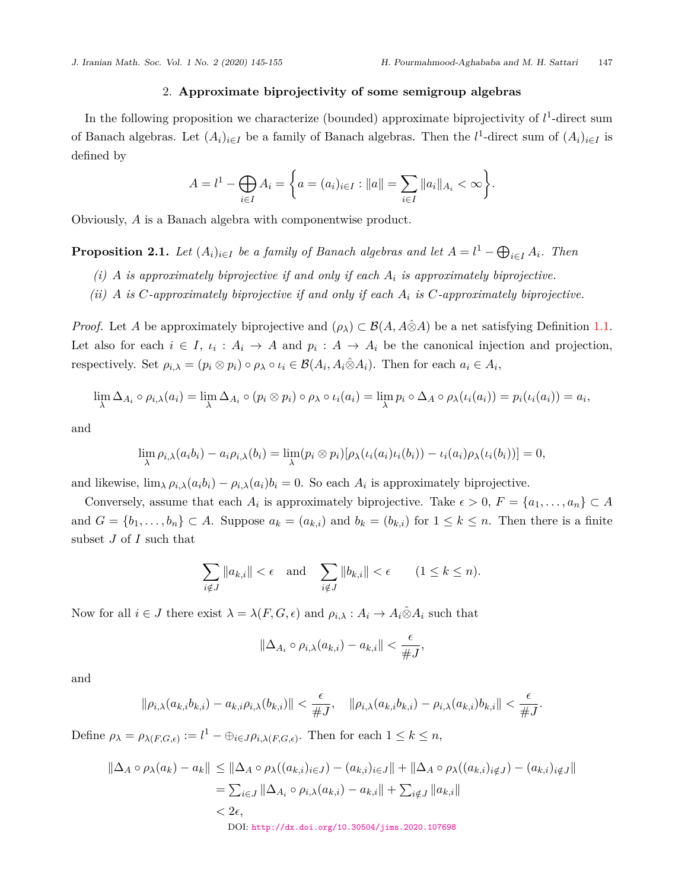## 2. **Approximate biprojectivity of some semigroup algebras**

In the following proposition we characterize (bounded) approximate biprojectivity of  $l<sup>1</sup>$ -direct sum of Banach algebras. Let  $(A_i)_{i \in I}$  be a family of Banach algebras. Then the  $l^1$ -direct sum of  $(A_i)_{i \in I}$  is defined by

$$
A = l^1 - \bigoplus_{i \in I} A_i = \left\{ a = (a_i)_{i \in I} : ||a|| = \sum_{i \in I} ||a_i||_{A_i} < \infty \right\}.
$$

Obviously, *A* is a Banach algebra with componentwise product.

<span id="page-2-0"></span>**Proposition 2.1.** *Let*  $(A_i)_{i \in I}$  *be a family of Banach algebras and let*  $A = l^1 - \bigoplus_{i \in I} A_i$ *. Then* 

- *(i) A is approximately biprojective if and only if each A<sup>i</sup> is approximately biprojective.*
- *(ii) A is C-approximately biprojective if and only if each A<sup>i</sup> is C-approximately biprojective.*

*Proof.* Let *A* be approximately biprojective and  $(\rho_{\lambda}) \subset \mathcal{B}(A, A \hat{\otimes} A)$  be a net satisfying Definition [1.1](#page-1-0). Let also for each  $i \in I$ ,  $i_i : A_i \to A$  and  $p_i : A \to A_i$  be the canonical injection and projection, respectively. Set  $\rho_{i,\lambda} = (p_i \otimes p_i) \circ \rho_\lambda \circ \iota_i \in \mathcal{B}(A_i, A_i \hat{\otimes} A_i)$ . Then for each  $a_i \in A_i$ ,

$$
\lim_{\lambda} \Delta_{A_i} \circ \rho_{i,\lambda}(a_i) = \lim_{\lambda} \Delta_{A_i} \circ (p_i \otimes p_i) \circ \rho_{\lambda} \circ \iota_i(a_i) = \lim_{\lambda} p_i \circ \Delta_A \circ \rho_{\lambda}(\iota_i(a_i)) = p_i(\iota_i(a_i)) = a_i,
$$

and

$$
\lim_{\lambda} \rho_{i,\lambda}(a_i b_i) - a_i \rho_{i,\lambda}(b_i) = \lim_{\lambda} (\rho_i \otimes p_i) [\rho_{\lambda}(\iota_i(a_i)\iota_i(b_i)) - \iota_i(a_i) \rho_{\lambda}(\iota_i(b_i))] = 0,
$$

and likewise,  $\lim_{\lambda} \rho_{i,\lambda}(a_i b_i) - \rho_{i,\lambda}(a_i) b_i = 0$ . So each  $A_i$  is approximately biprojective.

Conversely, assume that each  $A_i$  is approximately biprojective. Take  $\epsilon > 0$ ,  $F = \{a_1, \ldots, a_n\} \subset A$ and  $G = \{b_1, \ldots, b_n\} \subset A$ . Suppose  $a_k = (a_{k,i})$  and  $b_k = (b_{k,i})$  for  $1 \le k \le n$ . Then there is a finite subset *J* of *I* such that

$$
\sum_{i \notin J} ||a_{k,i}|| < \epsilon \quad \text{and} \quad \sum_{i \notin J} ||b_{k,i}|| < \epsilon \qquad (1 \le k \le n).
$$

Now for all  $i \in J$  there exist  $\lambda = \lambda(F, G, \epsilon)$  and  $\rho_{i,\lambda} : A_i \to A_i \hat{\otimes} A_i$  such that

$$
\|\Delta_{A_i}\circ\rho_{i,\lambda}(a_{k,i})-a_{k,i}\|<\frac{\epsilon}{\#J},
$$

and

$$
\|\rho_{i,\lambda}(a_{k,i}b_{k,i})-a_{k,i}\rho_{i,\lambda}(b_{k,i})\|<\frac{\epsilon}{\#J},\quad\|\rho_{i,\lambda}(a_{k,i}b_{k,i})-\rho_{i,\lambda}(a_{k,i})b_{k,i}\|<\frac{\epsilon}{\#J}.
$$

Define  $\rho_{\lambda} = \rho_{\lambda(F,G,\epsilon)} := l^1 - \bigoplus_{i \in J} \rho_{i,\lambda(F,G,\epsilon)}$ . Then for each  $1 \leq k \leq n$ ,

$$
\begin{aligned} \|\Delta_A \circ \rho_\lambda(a_k) - a_k\| &\leq \|\Delta_A \circ \rho_\lambda((a_{k,i})_{i \in J}) - (a_{k,i})_{i \in J}\| + \|\Delta_A \circ \rho_\lambda((a_{k,i})_{i \notin J}) - (a_{k,i})_{i \notin J}\| \\ &= \sum_{i \in J} \|\Delta_{A_i} \circ \rho_{i,\lambda}(a_{k,i}) - a_{k,i}\| + \sum_{i \notin J} \|a_{k,i}\| \\ &< 2\epsilon, \\ \text{DOI: http://dx.doi.org/10.30504/jims.2020.107698} \end{aligned}
$$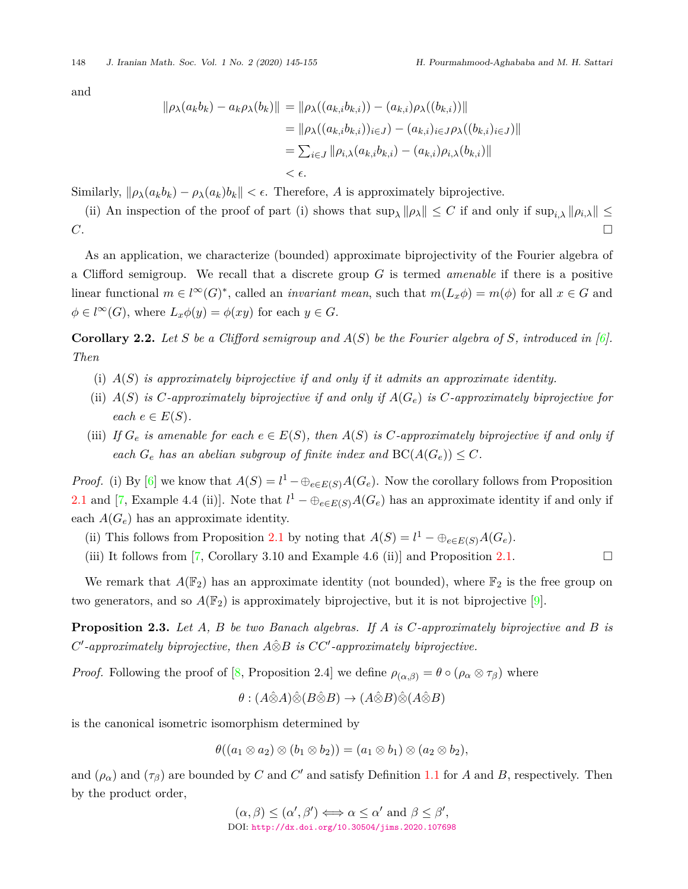and

$$
\|\rho_{\lambda}(a_{k}b_{k}) - a_{k}\rho_{\lambda}(b_{k})\| = \|\rho_{\lambda}((a_{k,i}b_{k,i})) - (a_{k,i})\rho_{\lambda}((b_{k,i}))\|
$$
  
\n
$$
= \|\rho_{\lambda}((a_{k,i}b_{k,i}))_{i \in J}) - (a_{k,i})_{i \in J}\rho_{\lambda}((b_{k,i})_{i \in J})\|
$$
  
\n
$$
= \sum_{i \in J} \|\rho_{i,\lambda}(a_{k,i}b_{k,i}) - (a_{k,i})\rho_{i,\lambda}(b_{k,i})\|
$$
  
\n
$$
< \epsilon.
$$

Similarly,  $\|\rho_{\lambda}(a_k b_k) - \rho_{\lambda}(a_k) b_k\| < \epsilon$ . Therefore, *A* is approximately biprojective.

(ii) An inspection of the proof of part (i) shows that  $\sup_{\lambda} ||\rho_{\lambda}|| \leq C$  if and only if  $\sup_{\lambda} ||\rho_{i,\lambda}|| \leq$  $C.$ 

As an application, we characterize (bounded) approximate biprojectivity of the Fourier algebra of a Clifford semigroup. We recall that a discrete group *G* is termed *amenable* if there is a positive linear functional  $m \in l^{\infty}(G)^{*}$ , called an *invariant mean*, such that  $m(L_x \phi) = m(\phi)$  for all  $x \in G$  and  $\phi \in l^{\infty}(G)$ , where  $L_x \phi(y) = \phi(xy)$  for each  $y \in G$ .

**Corollary 2.2.** *Let S be a Clifford semigroup and A*(*S*) *be the Fourier algebra of S, introduced in [\[6\]](#page-10-5). Then*

- (i) *A*(*S*) *is approximately biprojective if and only if it admits an approximate identity.*
- (ii)  $A(S)$  is C-approximately biprojective if and only if  $A(G_e)$  is C-approximately biprojective for  $\forall$  *each*  $e \in E(S)$ .
- (iii) If  $G_e$  is amenable for each  $e \in E(S)$ , then  $A(S)$  is  $C$ -approximately biprojective if and only if *each*  $G_e$  *has an abelian subgroup of finite index and*  $BC(A(G_e)) \leq C$ *.*

*Proof.* (i) By [\[6\]](#page-10-5) we know that  $A(S) = l^1 - \bigoplus_{e \in E(S)} A(G_e)$ . Now the corollary follows from Proposition [2.1](#page-2-0) and [\[7,](#page-10-3) Example 4.4 (ii)]. Note that  $l^1 - \bigoplus_{e \in E(S)} A(G_e)$  has an approximate identity if and only if each  $A(G_e)$  has an approximate identity.

- (ii) This follows from Proposition [2.1](#page-2-0) by noting that  $A(S) = l^1 \bigoplus_{e \in E(S)} A(G_e)$ .
- (iii) It follows from [\[7,](#page-10-3) Corollary 3.10 and Example 4.6 (ii)] and Proposition [2.1.](#page-2-0)  $\Box$

We remark that  $A(\mathbb{F}_2)$  has an approximate identity (not bounded), where  $\mathbb{F}_2$  is the free group on two generators, and so  $A(\mathbb{F}_2)$  is approximately biprojective, but it is not biprojective [\[9\]](#page-10-6).

<span id="page-3-0"></span>**Proposition 2.3.** *Let A, B be two Banach algebras. If A is C-approximately biprojective and B is C ′ -approximately biprojective, then A⊗*ˆ*B is CC′ -approximately biprojective.*

*Proof.* Following the proof of [[8](#page-10-0), Proposition 2.4] we define  $\rho_{(\alpha,\beta)} = \theta \circ (\rho_\alpha \otimes \tau_\beta)$  where

 $\theta$  :  $(A \hat{\otimes} A) \hat{\otimes} (B \hat{\otimes} B) \rightarrow (A \hat{\otimes} B) \hat{\otimes} (A \hat{\otimes} B)$ 

is the canonical isometric isomorphism determined by

$$
\theta((a_1 \otimes a_2) \otimes (b_1 \otimes b_2)) = (a_1 \otimes b_1) \otimes (a_2 \otimes b_2),
$$

and  $(\rho_{\alpha})$  and  $(\tau_{\beta})$  are bounded by *C* and *C'* and satisfy Definition [1.1](#page-1-0) for *A* and *B*, respectively. Then by the product order,

$$
(\alpha, \beta) \leq (\alpha', \beta') \Longleftrightarrow \alpha \leq \alpha' \text{ and } \beta \leq \beta',
$$
  
DOI: <http://dx.doi.org/10.30504/jims.2020.107698>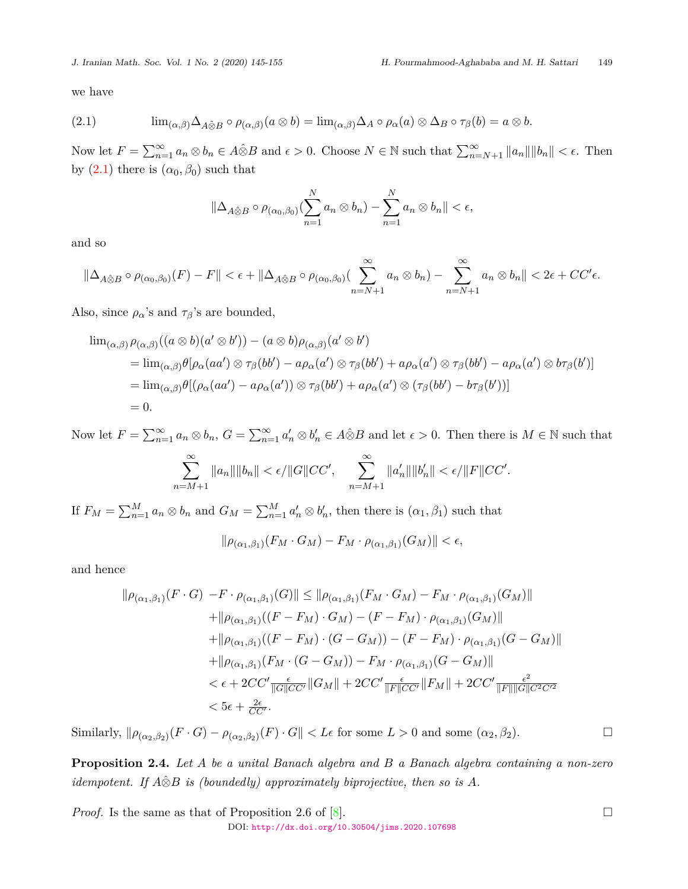we have

<span id="page-4-0"></span>(2.1) 
$$
\lim_{(\alpha,\beta)} \Delta_{A\hat{\otimes}B} \circ \rho_{(\alpha,\beta)}(a\otimes b) = \lim_{(\alpha,\beta)} \Delta_A \circ \rho_{\alpha}(a) \otimes \Delta_B \circ \tau_{\beta}(b) = a\otimes b.
$$

Now let  $F = \sum_{n=1}^{\infty} a_n \otimes b_n \in A \hat{\otimes} B$  and  $\epsilon > 0$ . Choose  $N \in \mathbb{N}$  such that  $\sum_{n=N+1}^{\infty} ||a_n|| ||b_n|| < \epsilon$ . Then by  $(2.1)$  $(2.1)$  there is  $(\alpha_0, \beta_0)$  such that

$$
\|\Delta_{A\hat{\otimes}B}\circ\rho_{(\alpha_0,\beta_0)}(\sum_{n=1}^N a_n\otimes b_n)-\sum_{n=1}^N a_n\otimes b_n\|<\epsilon,
$$

and so

$$
\|\Delta_{A\hat{\otimes}B}\circ\rho_{(\alpha_0,\beta_0)}(F)-F\|<\epsilon+\|\Delta_{A\hat{\otimes}B}\circ\rho_{(\alpha_0,\beta_0)}(\sum_{n=N+1}^{\infty}a_n\otimes b_n)-\sum_{n=N+1}^{\infty}a_n\otimes b_n\|<2\epsilon+CC'\epsilon.
$$

Also, since  $\rho_{\alpha}$ 's and  $\tau_{\beta}$ 's are bounded,

$$
\lim_{(\alpha,\beta)} \rho_{(\alpha,\beta)}((a \otimes b)(a' \otimes b')) - (a \otimes b)\rho_{(\alpha,\beta)}(a' \otimes b')
$$
\n
$$
= \lim_{(\alpha,\beta)} \theta[\rho_{\alpha}(aa') \otimes \tau_{\beta}(bb') - a\rho_{\alpha}(a') \otimes \tau_{\beta}(bb') + a\rho_{\alpha}(a') \otimes \tau_{\beta}(bb') - a\rho_{\alpha}(a') \otimes b\tau_{\beta}(b')]
$$
\n
$$
= \lim_{(\alpha,\beta)} \theta[(\rho_{\alpha}(aa') - a\rho_{\alpha}(a')) \otimes \tau_{\beta}(bb') + a\rho_{\alpha}(a') \otimes (\tau_{\beta}(bb') - b\tau_{\beta}(b'))]
$$
\n
$$
= 0.
$$

Now let  $F = \sum_{n=1}^{\infty} a_n \otimes b_n$ ,  $G = \sum_{n=1}^{\infty} a'_n \otimes b'_n \in A \hat{\otimes} B$  and let  $\epsilon > 0$ . Then there is  $M \in \mathbb{N}$  such that

$$
\sum_{n=M+1}^{\infty} \|a_n\| \|b_n\| < \epsilon / \|G\| CC', \quad \sum_{n=M+1}^{\infty} \|a'_n\| \|b'_n\| < \epsilon / \|F\| CC'.
$$

If  $F_M = \sum_{n=1}^M a_n \otimes b_n$  and  $G_M = \sum_{n=1}^M a'_n \otimes b'_n$ , then there is  $(\alpha_1, \beta_1)$  such that

 $\|\rho_{(\alpha_1,\beta_1)}(F_M \cdot G_M) - F_M \cdot \rho_{(\alpha_1,\beta_1)}(G_M)\| < \epsilon,$ 

and hence

$$
\|\rho_{(\alpha_1,\beta_1)}(F \cdot G) - F \cdot \rho_{(\alpha_1,\beta_1)}(G)\| \le \|\rho_{(\alpha_1,\beta_1)}(F_M \cdot G_M) - F_M \cdot \rho_{(\alpha_1,\beta_1)}(G_M)\| \n+ \|\rho_{(\alpha_1,\beta_1)}((F - F_M) \cdot G_M) - (F - F_M) \cdot \rho_{(\alpha_1,\beta_1)}(G_M)\| \n+ \|\rho_{(\alpha_1,\beta_1)}((F - F_M) \cdot (G - G_M)) - (F - F_M) \cdot \rho_{(\alpha_1,\beta_1)}(G - G_M)\| \n+ \|\rho_{(\alpha_1,\beta_1)}(F_M \cdot (G - G_M)) - F_M \cdot \rho_{(\alpha_1,\beta_1)}(G - G_M)\| \n< \epsilon + 2CC' \frac{\epsilon}{\|G\|CC'} \|G_M\| + 2CC' \frac{\epsilon}{\|F\|CC'} \|F_M\| + 2CC' \frac{\epsilon^2}{\|F\| \|G\| C^2 C'^2} \n< \delta \epsilon + \frac{2\epsilon}{CC'}.
$$

Similarly,  $\|\rho_{(\alpha_2,\beta_2)}(F \cdot G) - \rho_{(\alpha_2,\beta_2)}(F) \cdot G\| < L\epsilon$  for some  $L > 0$  and some  $(\alpha_2,\beta_2)$ .

<span id="page-4-1"></span>**Proposition 2.4.** *Let A be a unital Banach algebra and B a Banach algebra containing a non-zero idempotent.* If  $A\hat{\otimes}B$  *is (boundedly) approximately biprojective, then so is*  $A$ *.* 

*Proof.* Is the same as that of Proposition 2.6 of  $[8]$ . DOI: <http://dx.doi.org/10.30504/jims.2020.107698>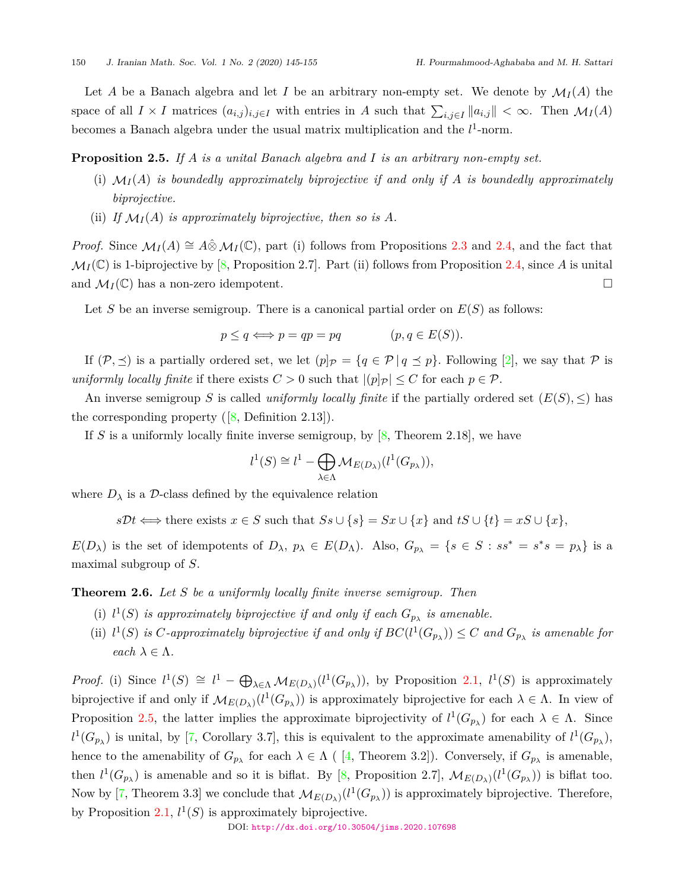Let *A* be a Banach algebra and let *I* be an arbitrary non-empty set. We denote by  $\mathcal{M}_I(A)$  the space of all  $I \times I$  matrices  $(a_{i,j})_{i,j \in I}$  with entries in A such that  $\sum_{i,j \in I} ||a_{i,j}|| < \infty$ . Then  $\mathcal{M}_I(A)$ becomes a Banach algebra under the usual matrix multiplication and the  $l^1$ -norm.

### <span id="page-5-0"></span>**Proposition 2.5.** *If A is a unital Banach algebra and I is an arbitrary non-empty set.*

- (i)  $\mathcal{M}_I(A)$  *is boundedly approximately biprojective if and only if*  $A$  *is boundedly approximately biprojective.*
- (ii) If  $\mathcal{M}_I(A)$  *is approximately biprojective, then so is A.*

*Proof.* Since  $\mathcal{M}_I(A) \cong A \hat{\otimes} \mathcal{M}_I(\mathbb{C})$ , part (i) follows from Propositions [2.3](#page-3-0) and [2.4](#page-4-1), and the fact that  $\mathcal{M}_I(\mathbb{C})$  is 1-biprojective by [\[8,](#page-10-0) Proposition 2.7]. Part (ii) follows from Proposition [2.4](#page-4-1), since *A* is unital and  $\mathcal{M}_I(\mathbb{C})$  has a non-zero idempotent.  $\Box$ 

Let *S* be an inverse semigroup. There is a canonical partial order on *E*(*S*) as follows:

$$
p \le q \iff p = qp = pq \qquad (p, q \in E(S)).
$$

If  $(P, \preceq)$  is a partially ordered set, we let  $(p]_P = \{q \in P \mid q \preceq p\}$ . Following [[2](#page-10-7)], we say that P is *uniformly locally finite* if there exists  $C > 0$  such that  $|p| \leq C$  for each  $p \in \mathcal{P}$ .

An inverse semigroup *S* is called *uniformly locally finite* if the partially ordered set  $(E(S), \leq)$  has the corresponding property  $([8, \text{Definition } 2.13]).$  $([8, \text{Definition } 2.13]).$  $([8, \text{Definition } 2.13]).$ 

If *S* is a uniformly locally finite inverse semigroup, by [\[8,](#page-10-0) Theorem 2.18], we have

$$
l^1(S) \cong l^1 - \bigoplus_{\lambda \in \Lambda} \mathcal{M}_{E(D_\lambda)}(l^1(G_{p_\lambda})),
$$

where  $D_{\lambda}$  is a *D*-class defined by the equivalence relation

 $s\mathcal{D}t \Longleftrightarrow$  there exists  $x \in S$  such that  $Ss \cup \{s\} = Sx \cup \{x\}$  and  $tS \cup \{t\} = xS \cup \{x\}$ ,

 $E(D_\lambda)$  is the set of idempotents of  $D_\lambda$ ,  $p_\lambda \in E(D_\Lambda)$ . Also,  $G_{p_\lambda} = \{s \in S : ss^* = s^*s = p_\lambda\}$  is a maximal subgroup of *S*.

<span id="page-5-1"></span>**Theorem 2.6.** *Let S be a uniformly locally finite inverse semigroup. Then*

- (i)  $l^1(S)$  *is approximately biprojective if and only if each*  $G_{p_\lambda}$  *is amenable.*
- (ii)  $l^1(S)$  *is C*-approximately biprojective if and only if  $BC(l^1(G_{p_{\lambda}})) \leq C$  and  $G_{p_{\lambda}}$  is amenable for *each*  $\lambda \in \Lambda$ .

*Proof.* (i) Since  $l^1(S) \cong l^1 - \bigoplus_{\lambda \in \Lambda} \mathcal{M}_{E(D_{\lambda})}(l^1(G_{p_{\lambda}}))$ , by Proposition [2.1](#page-2-0),  $l^1(S)$  is approximately biprojective if and only if  $M_{E(D_{\lambda})}(l^1(G_{p_{\lambda}}))$  is approximately biprojective for each  $\lambda \in \Lambda$ . In view of Proposition [2.5](#page-5-0), the latter implies the approximate biprojectivity of  $l^1(G_{p_\lambda})$  for each  $\lambda \in \Lambda$ . Since  $l^1(G_{p_\lambda})$  is unital, by [[7](#page-10-3), Corollary 3.7], this is equivalent to the approximate amenability of  $l^1(G_{p_\lambda})$ , henceto the amenability of  $G_{p_\lambda}$  for each  $\lambda \in \Lambda$  ( [[4](#page-10-8), Theorem 3.2]). Conversely, if  $G_{p_\lambda}$  is amenable, then  $l^1(G_{p_\lambda})$  is amenable and so it is biflat. By [\[8,](#page-10-0) Proposition 2.7],  $\mathcal{M}_{E(D_\lambda)}(l^1(G_{p_\lambda}))$  is biflat too. Now by [[7,](#page-10-3) Theorem 3.3] we conclude that  $\mathcal{M}_{E(D_{\lambda})}(l^1(G_{p_{\lambda}}))$  is approximately biprojective. Therefore, by Proposition [2.1](#page-2-0),  $l^1(S)$  is approximately biprojective.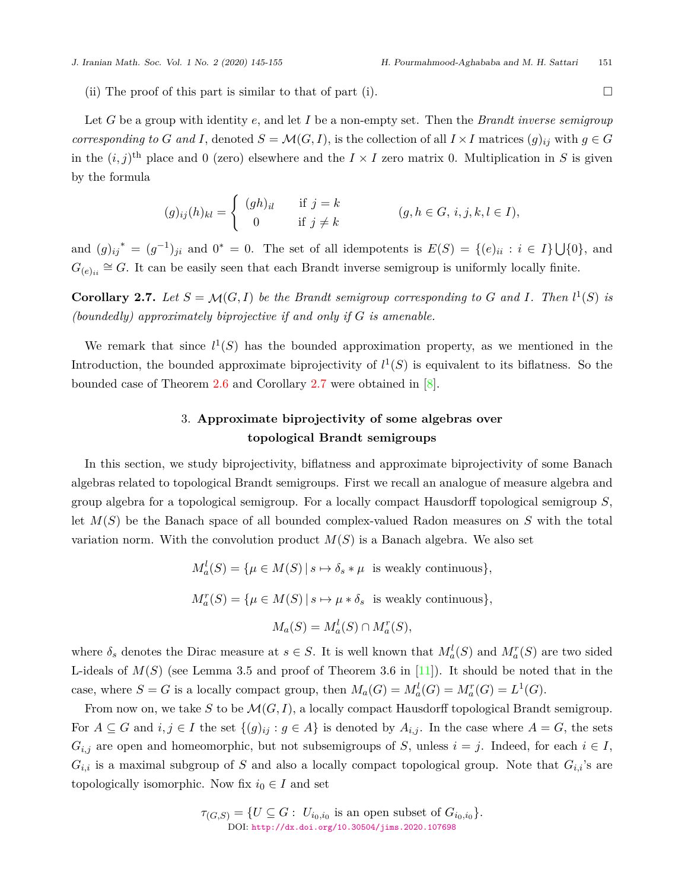(ii) The proof of this part is similar to that of part (i).  $\Box$ 

Let *G* be a group with identity *e*, and let *I* be a non-empty set. Then the *Brandt inverse semigroup corresponding to G* and *I*, denoted  $S = \mathcal{M}(G, I)$ , is the collection of all  $I \times I$  matrices  $(g)_{ij}$  with  $g \in G$ in the  $(i, j)$ <sup>th</sup> place and 0 (zero) elsewhere and the  $I \times I$  zero matrix 0. Multiplication in *S* is given by the formula

$$
(g)_{ij}(h)_{kl} = \begin{cases} (gh)_{il} & \text{if } j = k \\ 0 & \text{if } j \neq k \end{cases} \qquad (g, h \in G, i, j, k, l \in I),
$$

and  $(g)_{ij}^* = (g^{-1})_{ji}$  and  $0^* = 0$ . The set of all idempotents is  $E(S) = \{(e)_{ii} : i \in I\} \cup \{0\}$ , and  $G_{(e)_{ii}} \cong G$ . It can be easily seen that each Brandt inverse semigroup is uniformly locally finite.

<span id="page-6-0"></span>**Corollary 2.7.** Let  $S = \mathcal{M}(G, I)$  be the Brandt semigroup corresponding to G and I. Then  $l^1(S)$  is *(boundedly) approximately biprojective if and only if G is amenable.*

We remark that since  $l^1(S)$  has the bounded approximation property, as we mentioned in the Introduction, the bounded approximate biprojectivity of  $l^1(S)$  is equivalent to its biflatness. So the bounded case of Theorem [2.6](#page-5-1) and Corollary [2.7](#page-6-0) were obtained in [\[8\]](#page-10-0).

# 3. **Approximate biprojectivity of some algebras over topological Brandt semigroups**

In this section, we study biprojectivity, biflatness and approximate biprojectivity of some Banach algebras related to topological Brandt semigroups. First we recall an analogue of measure algebra and group algebra for a topological semigroup. For a locally compact Hausdorff topological semigroup *S*, let *M*(*S*) be the Banach space of all bounded complex-valued Radon measures on *S* with the total variation norm. With the convolution product  $M(S)$  is a Banach algebra. We also set

> $M_a^l(S) = {\mu \in M(S) | s \mapsto \delta_s * \mu \text{ is weakly continuous}}$  $M_a^r(S) = {\mu \in M(S) | s \mapsto \mu * \delta_s \text{ is weakly continuous}}$  $M_a(S) = M_a^l(S) \cap M_a^r(S)$ ,

where  $\delta_s$  denotes the Dirac measure at  $s \in S$ . It is well known that  $M_a^l(S)$  and  $M_a^r(S)$  are two sided L-ideals of  $M(S)$  (see Lemma 3.5 and proof of Theorem 3.6 in [[11\]](#page-10-9)). It should be noted that in the case, where  $S = G$  is a locally compact group, then  $M_a(G) = M_a^l(G) = M_a^r(G) = L^1(G)$ .

From now on, we take *S* to be *M*(*G, I*), a locally compact Hausdorff topological Brandt semigroup. For  $A \subseteq G$  and  $i, j \in I$  the set  $\{(g)_{ij} : g \in A\}$  is denoted by  $A_{i,j}$ . In the case where  $A = G$ , the sets  $G_{i,j}$  are open and homeomorphic, but not subsemigroups of *S*, unless  $i = j$ . Indeed, for each  $i \in I$ ,  $G_{i,i}$  is a maximal subgroup of *S* and also a locally compact topological group. Note that  $G_{i,i}$ 's are topologically isomorphic. Now fix  $i_0 \in I$  and set

> $\tau_{(G,S)} = \{ U \subseteq G : U_{i_0,i_0} \text{ is an open subset of } G_{i_0,i_0} \}.$ DOI: <http://dx.doi.org/10.30504/jims.2020.107698>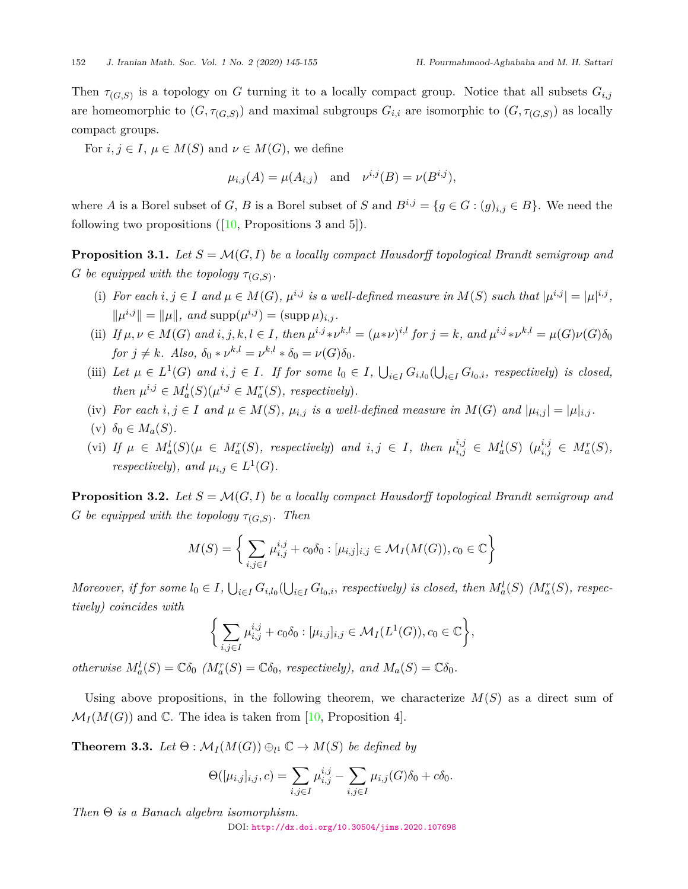Then  $\tau_{(G,S)}$  is a topology on *G* turning it to a locally compact group. Notice that all subsets  $G_{i,j}$ are homeomorphic to  $(G, \tau_{(G,S)})$  and maximal subgroups  $G_{i,i}$  are isomorphic to  $(G, \tau_{(G,S)})$  as locally compact groups.

For  $i, j \in I$ ,  $\mu \in M(S)$  and  $\nu \in M(G)$ , we define

$$
\mu_{i,j}(A) = \mu(A_{i,j})
$$
 and  $\nu^{i,j}(B) = \nu(B^{i,j}),$ 

where *A* is a Borel subset of *G*, *B* is a Borel subset of *S* and  $B^{i,j} = \{g \in G : (g)_{i,j} \in B\}$ . We need the following two propositions  $([10,$  $([10,$  Propositions 3 and 5]).

**Proposition 3.1.** Let  $S = \mathcal{M}(G, I)$  be a locally compact Hausdorff topological Brandt semigroup and *G be equipped with the topology*  $\tau_{(G,S)}$ *.* 

- (i) For each  $i, j \in I$  and  $\mu \in M(G)$ ,  $\mu^{i,j}$  is a well-defined measure in  $M(S)$  such that  $|\mu^{i,j}| = |\mu|^{i,j}$ ,  $\|\mu^{i,j}\| = \|\mu\|$ , and  $\text{supp}(\mu^{i,j}) = (\text{supp }\mu)_{i,j}$ .
- (ii) If  $\mu, \nu \in M(G)$  and  $i, j, k, l \in I$ , then  $\mu^{i,j} * \nu^{k,l} = (\mu * \nu)^{i,l}$  for  $j = k$ , and  $\mu^{i,j} * \nu^{k,l} = \mu(G)\nu(G)\delta_0$  $for j \neq k$ *. Also,*  $\delta_0 * \nu^{k,l} = \nu^{k,l} * \delta_0 = \nu(G)\delta_0$ *.*
- (iii) Let  $\mu \in L^1(G)$  and  $i, j \in I$ . If for some  $l_0 \in I$ ,  $\bigcup_{i \in I} G_{i,l_0}(\bigcup_{i \in I} G_{l_0,i})$ , respectively) is closed, *then*  $\mu^{i,j} \in M_a^l(S)(\mu^{i,j} \in M_a^r(S))$ , respectively).
- (iv) For each  $i, j \in I$  and  $\mu \in M(S)$ ,  $\mu_{i,j}$  is a well-defined measure in  $M(G)$  and  $|\mu_{i,j}| = |\mu|_{i,j}$ .

$$
(v) \ \delta_0 \in M_a(S).
$$

(vi) If  $\mu \in M_a^l(S)(\mu \in M_a^r(S))$ , respectively) and  $i, j \in I$ , then  $\mu_{i,j}^{i,j} \in M_a^l(S)$   $(\mu_{i,j}^{i,j} \in M_a^r(S))$ , *respectively*)*, and*  $\mu_{i,j} \in L^1(G)$ *.* 

<span id="page-7-0"></span>**Proposition 3.2.** Let  $S = \mathcal{M}(G, I)$  be a locally compact Hausdorff topological Brandt semigroup and *G be equipped with the topology*  $\tau_{(G,S)}$ *. Then* 

$$
M(S) = \left\{ \sum_{i,j \in I} \mu_{i,j}^{i,j} + c_0 \delta_0 : [\mu_{i,j}]_{i,j} \in \mathcal{M}_I(M(G)), c_0 \in \mathbb{C} \right\}
$$

Moreover, if for some  $l_0 \in I$ ,  $\bigcup_{i \in I} G_{i,l_0}(\bigcup_{i \in I} G_{l_0,i})$ , respectively) is closed, then  $M_a^l(S)$  ( $M_a^r(S)$ , respectively) *tively) coincides with*

$$
\bigg\{\sum_{i,j\in I}\mu_{i,j}^{i,j}+c_0\delta_0:[\mu_{i,j}]_{i,j}\in\mathcal{M}_I(L^1(G)), c_0\in\mathbb{C}\bigg\},\,
$$

*otherwise*  $M_a^l(S) = \mathbb{C}\delta_0$  ( $M_a^r(S) = \mathbb{C}\delta_0$ , respectively), and  $M_a(S) = \mathbb{C}\delta_0$ .

Using above propositions, in the following theorem, we characterize  $M(S)$  as a direct sum of  $\mathcal{M}_I(M(G))$  and  $\mathbb{C}$ . The idea is taken from [\[10](#page-10-10), Proposition 4].

**Theorem 3.3.** Let  $\Theta : \mathcal{M}_I(M(G)) \oplus_{l^1} \mathbb{C} \to M(S)$  be defined by

$$
\Theta([\mu_{i,j}]_{i,j}, c) = \sum_{i,j \in I} \mu_{i,j}^{i,j} - \sum_{i,j \in I} \mu_{i,j}(G)\delta_0 + c\delta_0.
$$

*Then* Θ *is a Banach algebra isomorphism.*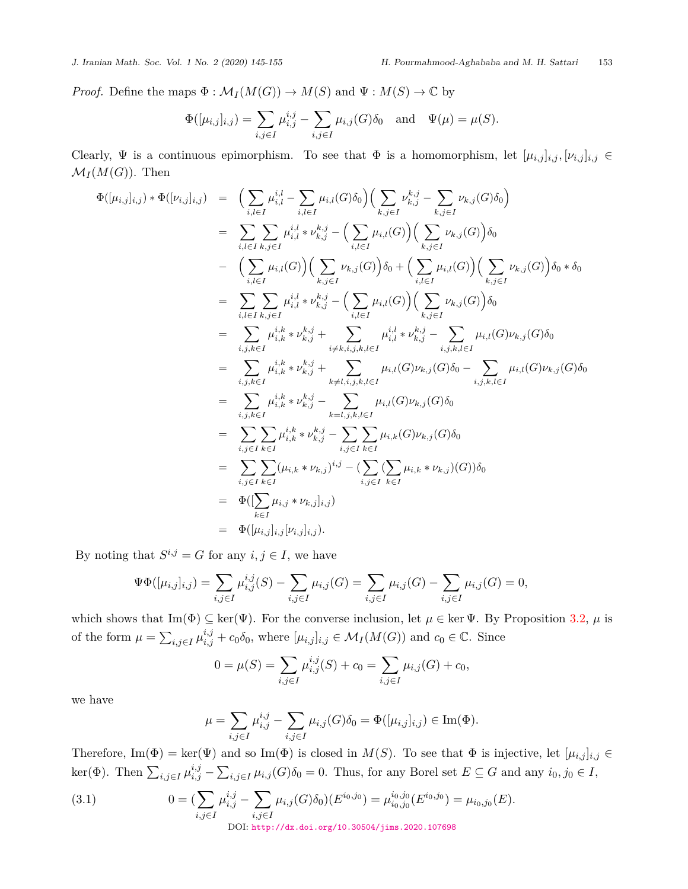*Proof.* Define the maps  $\Phi : \mathcal{M}_I(M(G)) \to M(S)$  and  $\Psi : M(S) \to \mathbb{C}$  by

$$
\Phi([\mu_{i,j}]_{i,j}) = \sum_{i,j \in I} \mu_{i,j}^{i,j} - \sum_{i,j \in I} \mu_{i,j}(G)\delta_0 \text{ and } \Psi(\mu) = \mu(S).
$$

Clearly,  $\Psi$  is a continuous epimorphism. To see that  $\Phi$  is a homomorphism, let  $[\mu_{i,j}]_{i,j}, [\nu_{i,j}]_{i,j} \in$  $\mathcal{M}_I(M(G))$ . Then

$$
\Phi([\mu_{i,j}]_{i,j}) * \Phi([\nu_{i,j}]_{i,j}) = \left( \sum_{i,l \in I} \mu_{i,l}^{i,l} - \sum_{i,l \in I} \mu_{i,l}(G)\delta_0 \right) \left( \sum_{k,j \in I} \nu_{k,j}^{k,j} - \sum_{k,j \in I} \nu_{k,j}(G)\delta_0 \right)
$$
\n
$$
= \sum_{i,l \in I} \sum_{k,j \in I} \mu_{i,l}^{i,l} * \nu_{k,j}^{k,j} - \left( \sum_{i,l \in I} \mu_{i,l}(G) \right) \left( \sum_{k,j \in I} \nu_{k,j}(G) \right) \delta_0
$$
\n
$$
- \left( \sum_{i,l \in I} \mu_{i,l}(G) \right) \left( \sum_{k,j \in I} \nu_{k,j}(G) \right) \delta_0 + \left( \sum_{i,l \in I} \mu_{i,l}(G) \right) \left( \sum_{k,j \in I} \nu_{k,j}(G) \right) \delta_0 * \delta_0
$$
\n
$$
= \sum_{i,l \in I} \sum_{k,j \in I} \mu_{i,l}^{i,l} * \nu_{k,j}^{k,j} - \left( \sum_{i,l \in I} \mu_{i,l}(G) \right) \left( \sum_{k,j \in I} \nu_{k,j}(G) \right) \delta_0
$$
\n
$$
= \sum_{i,j,k \in I} \mu_{i,k}^{i,k} * \nu_{k,j}^{k,j} + \sum_{i \neq k,i,j,k,l \in I} \mu_{i,l}^{i,l} * \nu_{k,j}^{k,j} - \sum_{i,j,k,l \in I} \mu_{i,l}(G) \nu_{k,j}(G) \delta_0
$$
\n
$$
= \sum_{i,j,k \in I} \mu_{i,k}^{i,k} * \nu_{k,j}^{k,j} - \sum_{k=l,j,k,l \in I} \mu_{i,l}(G) \nu_{k,j}(G) \delta_0 - \sum_{i,j,k,l \in I} \mu_{i,l}(G) \nu_{k,j}(G) \delta_0
$$
\n
$$
= \sum_{i,j \in I} \sum_{k \in I} \mu_{i,k}^{i,k} * \nu_{k,j}^{k,j} - \sum_{i,j \in I} \sum_{k \in I} \mu_{i,k}(G) \nu_{k,j}(G) \delta_0
$$
\n
$$
= \sum_{i,j \in
$$

By noting that  $S^{i,j} = G$  for any  $i, j \in I$ , we have

$$
\Psi\Phi([\mu_{i,j}]_{i,j}) = \sum_{i,j\in I} \mu_{i,j}^{i,j}(S) - \sum_{i,j\in I} \mu_{i,j}(G) = \sum_{i,j\in I} \mu_{i,j}(G) - \sum_{i,j\in I} \mu_{i,j}(G) = 0,
$$

which shows that Im( $\Phi$ )  $\subseteq$  ker( $\Psi$ ). For the converse inclusion, let  $\mu \in \text{ker } \Psi$ . By Proposition [3.2](#page-7-0),  $\mu$  is of the form  $\mu = \sum_{i,j \in I} \mu_{i,j}^{i,j} + c_0 \delta_0$ , where  $[\mu_{i,j}]_{i,j} \in \mathcal{M}_I(M(G))$  and  $c_0 \in \mathbb{C}$ . Since

$$
0 = \mu(S) = \sum_{i,j \in I} \mu_{i,j}^{i,j}(S) + c_0 = \sum_{i,j \in I} \mu_{i,j}(G) + c_0,
$$

we have

$$
\mu = \sum_{i,j \in I} \mu_{i,j}^{i,j} - \sum_{i,j \in I} \mu_{i,j}(G)\delta_0 = \Phi([\mu_{i,j}]_{i,j}) \in \text{Im}(\Phi).
$$

Therefore,  $\text{Im}(\Phi) = \text{ker}(\Psi)$  and so  $\text{Im}(\Phi)$  is closed in  $M(S)$ . To see that  $\Phi$  is injective, let  $[\mu_{i,j}]_{i,j} \in$ ker( $\Phi$ ). Then  $\sum_{i,j\in I}\mu_{i,j}^{i,j} - \sum_{i,j\in I}\mu_{i,j}(G)\delta_0 = 0$ . Thus, for any Borel set  $E \subseteq G$  and any  $i_0, j_0 \in I$ ,

(3.1) 
$$
0 = \left( \sum_{i,j \in I} \mu_{i,j}^{i,j} - \sum_{i,j \in I} \mu_{i,j}(G) \delta_0 \right) (E^{i_0, j_0}) = \mu_{i_0, j_0}^{i_0, j_0}(E^{i_0, j_0}) = \mu_{i_0, j_0}(E).
$$
  
Dol: http://dx.doi.org/10.30504/jims.2020.107698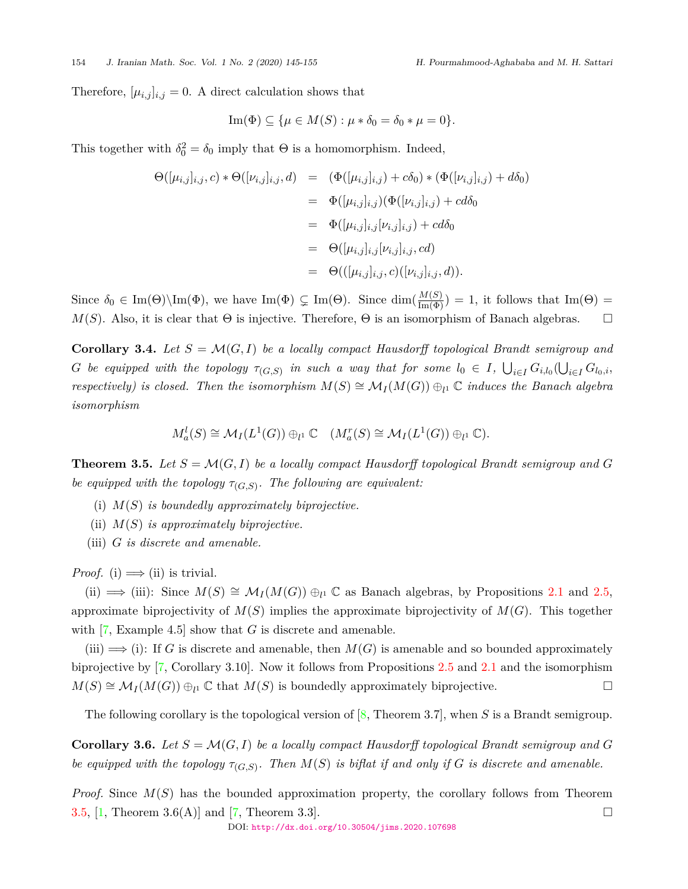Therefore,  $[\mu_{i,j}]_{i,j} = 0$ . A direct calculation shows that

$$
\operatorname{Im}(\Phi) \subseteq \{\mu \in M(S) : \mu * \delta_0 = \delta_0 * \mu = 0\}.
$$

This together with  $\delta_0^2 = \delta_0$  imply that  $\Theta$  is a homomorphism. Indeed,

$$
\Theta([\mu_{i,j}]_{i,j}, c) * \Theta([\nu_{i,j}]_{i,j}, d) = (\Phi([\mu_{i,j}]_{i,j}) + c\delta_0) * (\Phi([\nu_{i,j}]_{i,j}) + d\delta_0)
$$
  
\n
$$
= \Phi([\mu_{i,j}]_{i,j}) (\Phi([\nu_{i,j}]_{i,j}) + c d\delta_0
$$
  
\n
$$
= \Phi([\mu_{i,j}]_{i,j} [\nu_{i,j}]_{i,j}) + c d\delta_0
$$
  
\n
$$
= \Theta([\mu_{i,j}]_{i,j} [\nu_{i,j}]_{i,j}, cd)
$$
  
\n
$$
= \Theta(([\mu_{i,j}]_{i,j}, c) ([\nu_{i,j}]_{i,j}, d)).
$$

Since  $\delta_0 \in \text{Im}(\Theta) \setminus \text{Im}(\Phi)$ , we have  $\text{Im}(\Phi) \subsetneq \text{Im}(\Theta)$ . Since  $\dim(\frac{M(S)}{\text{Im}(\Phi)}) = 1$ , it follows that  $\text{Im}(\Theta) =$  $M(S)$ . Also, it is clear that  $\Theta$  is injective. Therefore,  $\Theta$  is an isomorphism of Banach algebras. □

**Corollary 3.4.** Let  $S = \mathcal{M}(G, I)$  be a locally compact Hausdorff topological Brandt semigroup and  $G$  be equipped with the topology  $\tau_{(G,S)}$  in such a way that for some  $l_0 \in I$ ,  $\bigcup_{i \in I} G_{i,l_0}(\bigcup_{i \in I} G_{l_0,i},$ *respectively) is closed. Then the isomorphism*  $M(S) \cong M_I(M(G)) \oplus_{l} \mathbb{C}$  *induces the Banach algebra isomorphism*

$$
M_a^l(S) \cong \mathcal{M}_I(L^1(G)) \oplus_{l^1} \mathbb{C} \quad (M_a^r(S) \cong \mathcal{M}_I(L^1(G)) \oplus_{l^1} \mathbb{C}).
$$

<span id="page-9-0"></span>**Theorem 3.5.** *Let S* = *M*(*G, I*) *be a locally compact Hausdorff topological Brandt semigroup and G be equipped with the topology*  $\tau_{(G,S)}$ . The following are equivalent:

- (i) *M*(*S*) *is boundedly approximately biprojective.*
- (ii) *M*(*S*) *is approximately biprojective.*
- (iii) *G is discrete and amenable.*

*Proof.* (i)  $\implies$  (ii) is trivial.

(ii)  $\Rightarrow$  (iii): Since  $M(S) \cong M_I(M(G)) \oplus_{l} \mathbb{C}$  as Banach algebras, by Propositions [2.1](#page-2-0) and [2.5](#page-5-0), approximate biprojectivity of  $M(S)$  implies the approximate biprojectivity of  $M(G)$ . This together with [\[7,](#page-10-3) Example 4.5] show that *G* is discrete and amenable.

 $(iii) \implies (i):$  If *G* is discrete and amenable, then  $M(G)$  is amenable and so bounded approximately biprojective by [[7](#page-10-3), Corollary 3.10]. Now it follows from Propositions [2.5](#page-5-0) and [2.1](#page-2-0) and the isomorphism  $M(S) \cong M_I(M(G)) \oplus_{l^1} \mathbb{C}$  that  $M(S)$  is boundedly approximately biprojective. □

The following corollary is the topological version of [[8](#page-10-0), Theorem 3.7], when *S* is a Brandt semigroup.

**Corollary 3.6.** Let  $S = \mathcal{M}(G, I)$  be a locally compact Hausdorff topological Brandt semigroup and G *be equipped with the topology*  $\tau_{(G,S)}$ . Then  $M(S)$  *is biflat if and only if G is discrete and amenable.* 

*Proof.* Since *M*(*S*) has the bounded approximation property, the corollary follows from Theorem [3.5](#page-9-0),  $[1,$  Theorem 3.6(A)] and  $[7,$  $[7,$  $[7,$  Theorem 3.3].